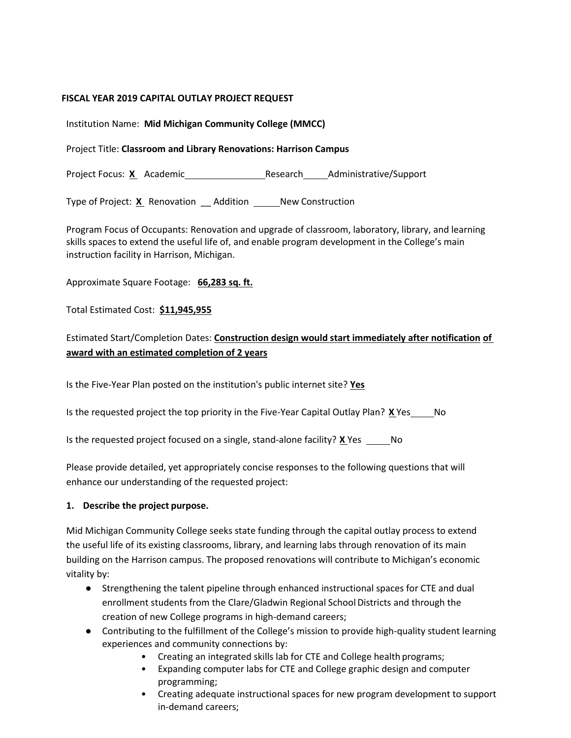#### **FISCAL YEAR 2019 CAPITAL OUTLAY PROJECT REQUEST**

Institution Name: **Mid Michigan Community College (MMCC)**

#### Project Title: **Classroom and Library Renovations: Harrison Campus**

Project Focus: X Academic Research Administrative/Support

Type of Project: X Renovation Addition New Construction

Program Focus of Occupants: Renovation and upgrade of classroom, laboratory, library, and learning skills spaces to extend the useful life of, and enable program development in the College's main instruction facility in Harrison, Michigan.

Approximate Square Footage: **66,283 sq. ft.**

Total Estimated Cost: **\$11,945,955**

### Estimated Start/Completion Dates: **Construction design would start immediately after notification of award with an estimated completion of 2 years**

Is the Five-Year Plan posted on the institution's public internet site? **Yes**

Is the requested project the top priority in the Five-Year Capital Outlay Plan? **X** Yes \_\_\_\_\_\_ No

Is the requested project focused on a single, stand-alone facility? **X** Yes No

Please provide detailed, yet appropriately concise responses to the following questions that will enhance our understanding of the requested project:

#### **1. Describe the project purpose.**

Mid Michigan Community College seeks state funding through the capital outlay process to extend the useful life of its existing classrooms, library, and learning labs through renovation of its main building on the Harrison campus. The proposed renovations will contribute to Michigan's economic vitality by:

- Strengthening the talent pipeline through enhanced instructional spaces for CTE and dual enrollment students from the Clare/Gladwin Regional School Districts and through the creation of new College programs in high-demand careers;
- Contributing to the fulfillment of the College's mission to provide high-quality student learning experiences and community connections by:
	- Creating an integrated skills lab for CTE and College health programs;
	- Expanding computer labs for CTE and College graphic design and computer programming;
	- Creating adequate instructional spaces for new program development to support in-demand careers;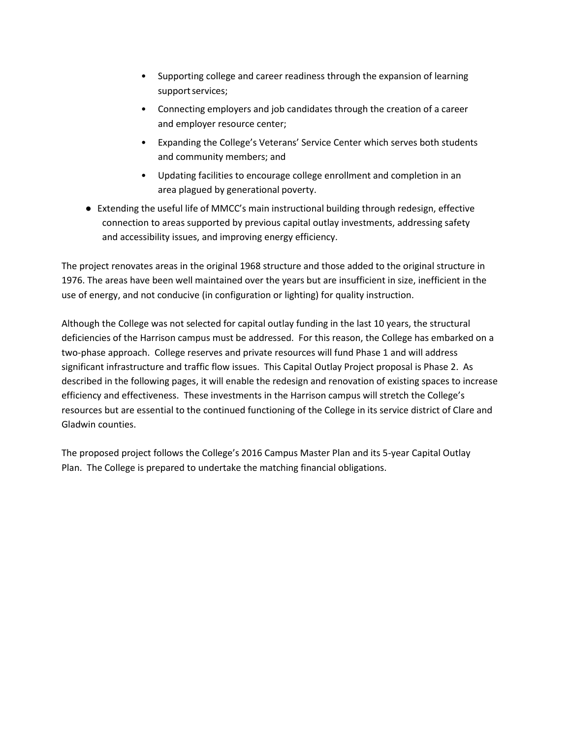- Supporting college and career readiness through the expansion of learning support services;
- Connecting employers and job candidates through the creation of a career and employer resource center;
- Expanding the College's Veterans' Service Center which serves both students and community members; and
- Updating facilities to encourage college enrollment and completion in an area plagued by generational poverty.
- Extending the useful life of MMCC's main instructional building through redesign, effective connection to areas supported by previous capital outlay investments, addressing safety and accessibility issues, and improving energy efficiency.

The project renovates areas in the original 1968 structure and those added to the original structure in 1976. The areas have been well maintained over the years but are insufficient in size, inefficient in the use of energy, and not conducive (in configuration or lighting) for quality instruction.

Although the College was not selected for capital outlay funding in the last 10 years, the structural deficiencies of the Harrison campus must be addressed. For this reason, the College has embarked on a two-phase approach. College reserves and private resources will fund Phase 1 and will address significant infrastructure and traffic flow issues. This Capital Outlay Project proposal is Phase 2. As described in the following pages, it will enable the redesign and renovation of existing spaces to increase efficiency and effectiveness. These investments in the Harrison campus will stretch the College's resources but are essential to the continued functioning of the College in its service district of Clare and Gladwin counties.

The proposed project follows the College's 2016 Campus Master Plan and its 5-year Capital Outlay Plan. The College is prepared to undertake the matching financial obligations.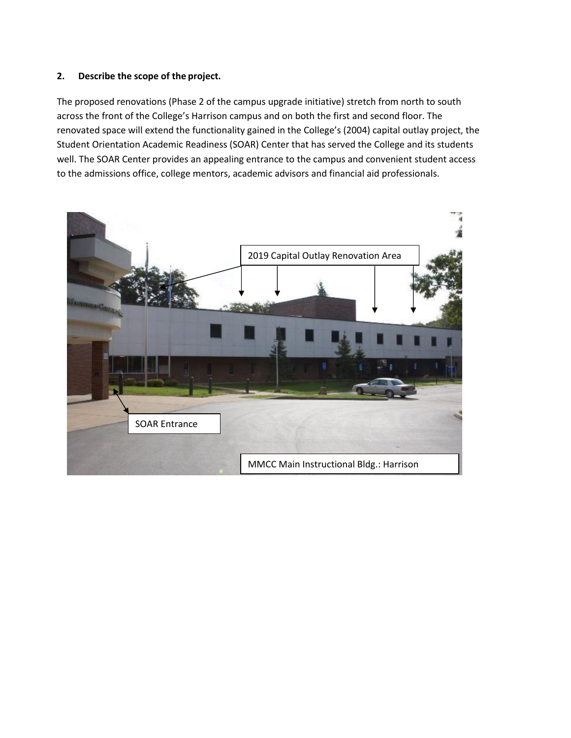#### **2. Describe the scope of the project.**

The proposed renovations (Phase 2 of the campus upgrade initiative) stretch from north to south across the front of the College's Harrison campus and on both the first and second floor. The renovated space will extend the functionality gained in the College's (2004) capital outlay project, the Student Orientation Academic Readiness (SOAR) Center that has served the College and its students well. The SOAR Center provides an appealing entrance to the campus and convenient student access to the admissions office, college mentors, academic advisors and financial aid professionals.

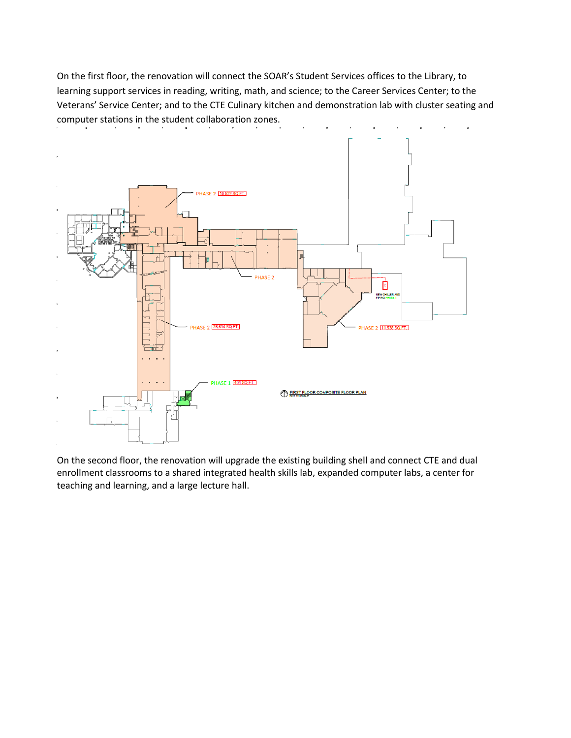On the first floor, the renovation will connect the SOAR's Student Services offices to the Library, to learning support services in reading, writing, math, and science; to the Career Services Center; to the Veterans' Service Center; and to the CTE Culinary kitchen and demonstration lab with cluster seating and computer stations in the student collaboration zones.



On the second floor, the renovation will upgrade the existing building shell and connect CTE and dual enrollment classrooms to a shared integrated health skills lab, expanded computer labs, a center for teaching and learning, and a large lecture hall.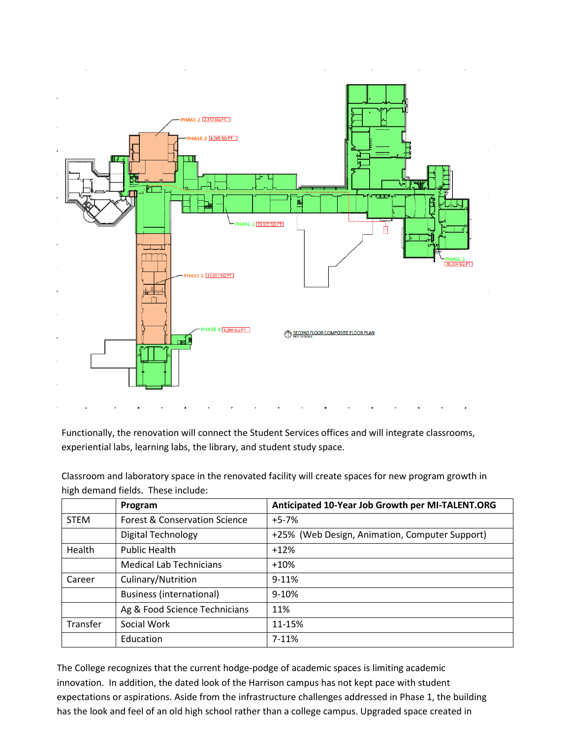

Functionally, the renovation will connect the Student Services offices and will integrate classrooms, experiential labs, learning labs, the library, and student study space.

Classroom and laboratory space in the renovated facility will create spaces for new program growth in high demand fields. These include:

|             | Program                         | Anticipated 10-Year Job Growth per MI-TALENT.ORG |
|-------------|---------------------------------|--------------------------------------------------|
| <b>STEM</b> | Forest & Conservation Science   | $+5-7%$                                          |
|             | <b>Digital Technology</b>       | +25% (Web Design, Animation, Computer Support)   |
| Health      | <b>Public Health</b>            | $+12%$                                           |
|             | <b>Medical Lab Technicians</b>  | $+10%$                                           |
| Career      | Culinary/Nutrition              | $9 - 11%$                                        |
|             | <b>Business (international)</b> | $9 - 10%$                                        |
|             | Ag & Food Science Technicians   | 11%                                              |
| Transfer    | Social Work                     | 11-15%                                           |
|             | Education                       | $7-11%$                                          |

The College recognizes that the current hodge-podge of academic spaces is limiting academic innovation. In addition, the dated look of the Harrison campus has not kept pace with student expectations or aspirations. Aside from the infrastructure challenges addressed in Phase 1, the building has the look and feel of an old high school rather than a college campus. Upgraded space created in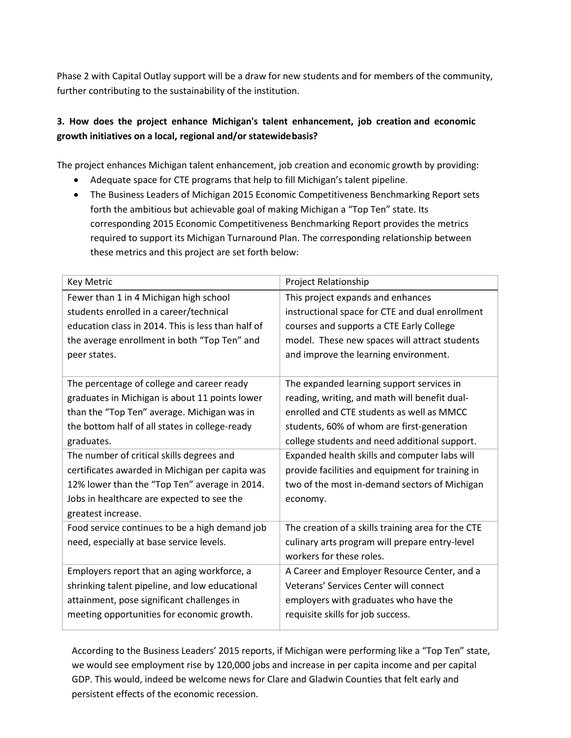Phase 2 with Capital Outlay support will be a draw for new students and for members of the community, further contributing to the sustainability of the institution.

### **3. How does the project enhance Michigan's talent enhancement, job creation and economic growth initiatives on a local, regional and/or statewidebasis?**

The project enhances Michigan talent enhancement, job creation and economic growth by providing:

- Adequate space for CTE programs that help to fill Michigan's talent pipeline.
- The Business Leaders of Michigan 2015 Economic Competitiveness Benchmarking Report sets forth the ambitious but achievable goal of making Michigan a "Top Ten" state. Its corresponding 2015 Economic Competitiveness Benchmarking Report provides the metrics required to support its Michigan Turnaround Plan. The corresponding relationship between these metrics and this project are set forth below:

| <b>Key Metric</b>                                  | Project Relationship                               |  |  |
|----------------------------------------------------|----------------------------------------------------|--|--|
| Fewer than 1 in 4 Michigan high school             | This project expands and enhances                  |  |  |
| students enrolled in a career/technical            | instructional space for CTE and dual enrollment    |  |  |
| education class in 2014. This is less than half of | courses and supports a CTE Early College           |  |  |
| the average enrollment in both "Top Ten" and       | model. These new spaces will attract students      |  |  |
| peer states.                                       | and improve the learning environment.              |  |  |
|                                                    |                                                    |  |  |
| The percentage of college and career ready         | The expanded learning support services in          |  |  |
| graduates in Michigan is about 11 points lower     | reading, writing, and math will benefit dual-      |  |  |
| than the "Top Ten" average. Michigan was in        | enrolled and CTE students as well as MMCC          |  |  |
| the bottom half of all states in college-ready     | students, 60% of whom are first-generation         |  |  |
| graduates.                                         | college students and need additional support.      |  |  |
| The number of critical skills degrees and          | Expanded health skills and computer labs will      |  |  |
| certificates awarded in Michigan per capita was    | provide facilities and equipment for training in   |  |  |
| 12% lower than the "Top Ten" average in 2014.      | two of the most in-demand sectors of Michigan      |  |  |
| Jobs in healthcare are expected to see the         | economy.                                           |  |  |
| greatest increase.                                 |                                                    |  |  |
| Food service continues to be a high demand job     | The creation of a skills training area for the CTE |  |  |
| need, especially at base service levels.           | culinary arts program will prepare entry-level     |  |  |
|                                                    | workers for these roles.                           |  |  |
| Employers report that an aging workforce, a        | A Career and Employer Resource Center, and a       |  |  |
| shrinking talent pipeline, and low educational     | Veterans' Services Center will connect             |  |  |
| attainment, pose significant challenges in         | employers with graduates who have the              |  |  |
| meeting opportunities for economic growth.         | requisite skills for job success.                  |  |  |

According to the Business Leaders' 2015 reports, if Michigan were performing like a "Top Ten" state, we would see employment rise by 120,000 jobs and increase in per capita income and per capital GDP. This would, indeed be welcome news for Clare and Gladwin Counties that felt early and persistent effects of the economic recession.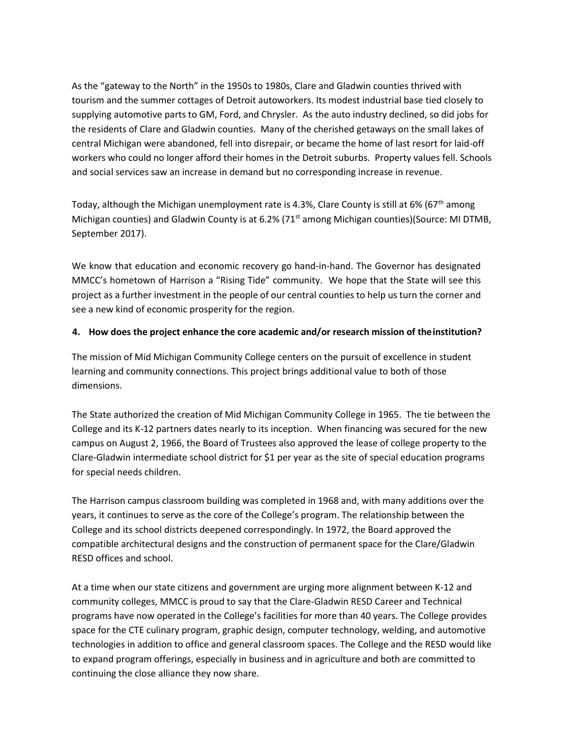As the "gateway to the North" in the 1950s to 1980s, Clare and Gladwin counties thrived with tourism and the summer cottages of Detroit autoworkers. Its modest industrial base tied closely to supplying automotive parts to GM, Ford, and Chrysler. As the auto industry declined, so did jobs for the residents of Clare and Gladwin counties. Many of the cherished getaways on the small lakes of central Michigan were abandoned, fell into disrepair, or became the home of last resort for laid-off workers who could no longer afford their homes in the Detroit suburbs. Property values fell. Schools and social services saw an increase in demand but no corresponding increase in revenue.

Today, although the Michigan unemployment rate is 4.3%, Clare County is still at 6% (67<sup>th</sup> among Michigan counties) and Gladwin County is at 6.2% (71<sup>st</sup> among Michigan counties)(Source: MI DTMB, September 2017).

We know that education and economic recovery go hand-in-hand. The Governor has designated MMCC's hometown of Harrison a "Rising Tide" community. We hope that the State will see this project as a further investment in the people of our central counties to help us turn the corner and see a new kind of economic prosperity for the region.

#### **4. How does the project enhance the core academic and/or research mission of theinstitution?**

The mission of Mid Michigan Community College centers on the pursuit of excellence in student learning and community connections. This project brings additional value to both of those dimensions.

The State authorized the creation of Mid Michigan Community College in 1965. The tie between the College and its K-12 partners dates nearly to its inception. When financing was secured for the new campus on August 2, 1966, the Board of Trustees also approved the lease of college property to the Clare-Gladwin intermediate school district for \$1 per year as the site of special education programs for special needs children.

The Harrison campus classroom building was completed in 1968 and, with many additions over the years, it continues to serve as the core of the College's program. The relationship between the College and its school districts deepened correspondingly. In 1972, the Board approved the compatible architectural designs and the construction of permanent space for the Clare/Gladwin RESD offices and school.

At a time when our state citizens and government are urging more alignment between K-12 and community colleges, MMCC is proud to say that the Clare-Gladwin RESD Career and Technical programs have now operated in the College's facilities for more than 40 years. The College provides space for the CTE culinary program, graphic design, computer technology, welding, and automotive technologies in addition to office and general classroom spaces. The College and the RESD would like to expand program offerings, especially in business and in agriculture and both are committed to continuing the close alliance they now share.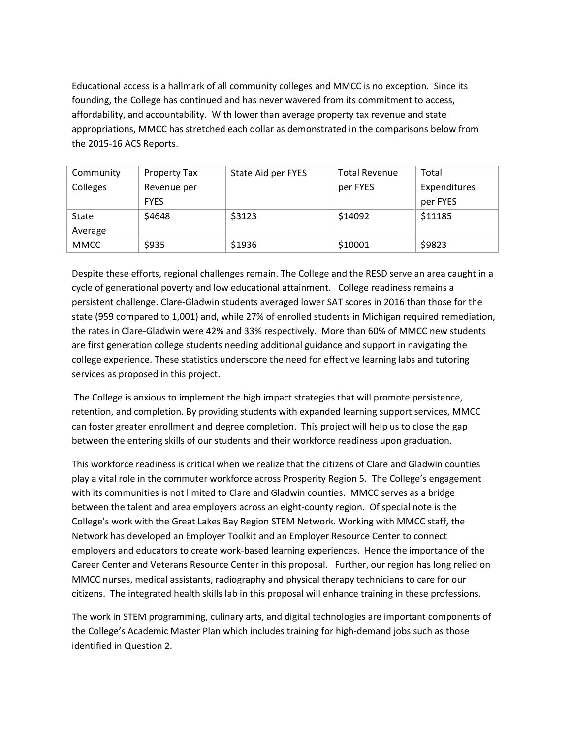Educational access is a hallmark of all community colleges and MMCC is no exception. Since its founding, the College has continued and has never wavered from its commitment to access, affordability, and accountability. With lower than average property tax revenue and state appropriations, MMCC has stretched each dollar as demonstrated in the comparisons below from the 2015-16 ACS Reports.

| Community   | Property Tax | State Aid per FYES | <b>Total Revenue</b> | Total        |
|-------------|--------------|--------------------|----------------------|--------------|
| Colleges    | Revenue per  |                    | per FYES             | Expenditures |
|             | <b>FYES</b>  |                    |                      | per FYES     |
| State       | \$4648       | \$3123             | \$14092              | \$11185      |
| Average     |              |                    |                      |              |
| <b>MMCC</b> | \$935        | \$1936             | \$10001              | \$9823       |

Despite these efforts, regional challenges remain. The College and the RESD serve an area caught in a cycle of generational poverty and low educational attainment. College readiness remains a persistent challenge. Clare-Gladwin students averaged lower SAT scores in 2016 than those for the state (959 compared to 1,001) and, while 27% of enrolled students in Michigan required remediation, the rates in Clare-Gladwin were 42% and 33% respectively. More than 60% of MMCC new students are first generation college students needing additional guidance and support in navigating the college experience. These statistics underscore the need for effective learning labs and tutoring services as proposed in this project.

The College is anxious to implement the high impact strategies that will promote persistence, retention, and completion. By providing students with expanded learning support services, MMCC can foster greater enrollment and degree completion. This project will help us to close the gap between the entering skills of our students and their workforce readiness upon graduation.

This workforce readiness is critical when we realize that the citizens of Clare and Gladwin counties play a vital role in the commuter workforce across Prosperity Region 5. The College's engagement with its communities is not limited to Clare and Gladwin counties. MMCC serves as a bridge between the talent and area employers across an eight-county region. Of special note is the College's work with the Great Lakes Bay Region STEM Network. Working with MMCC staff, the Network has developed an Employer Toolkit and an Employer Resource Center to connect employers and educators to create work-based learning experiences. Hence the importance of the Career Center and Veterans Resource Center in this proposal. Further, our region has long relied on MMCC nurses, medical assistants, radiography and physical therapy technicians to care for our citizens. The integrated health skills lab in this proposal will enhance training in these professions.

The work in STEM programming, culinary arts, and digital technologies are important components of the College's Academic Master Plan which includes training for high-demand jobs such as those identified in Question 2.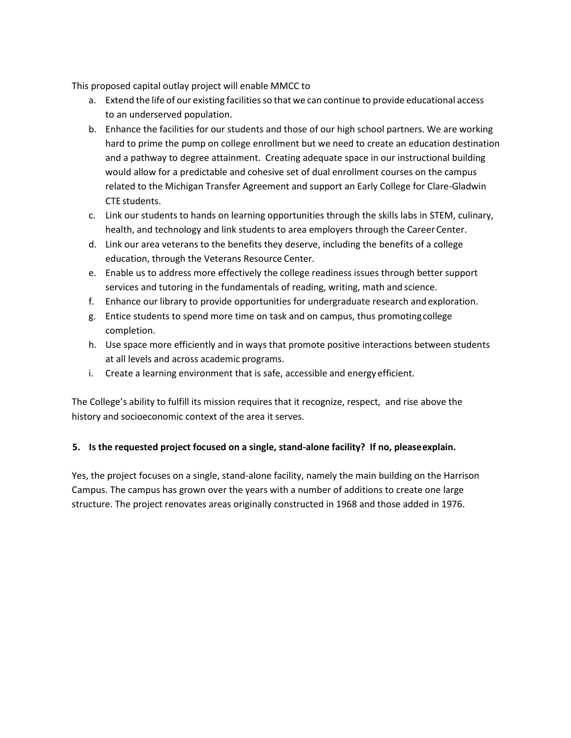This proposed capital outlay project will enable MMCC to

- a. Extend the life of our existing facilities so that we can continue to provide educational access to an underserved population.
- b. Enhance the facilities for our students and those of our high school partners. We are working hard to prime the pump on college enrollment but we need to create an education destination and a pathway to degree attainment. Creating adequate space in our instructional building would allow for a predictable and cohesive set of dual enrollment courses on the campus related to the Michigan Transfer Agreement and support an Early College for Clare-Gladwin CTE students.
- c. Link our students to hands on learning opportunities through the skills labs in STEM, culinary, health, and technology and link students to area employers through the CareerCenter.
- d. Link our area veterans to the benefits they deserve, including the benefits of a college education, through the Veterans Resource Center.
- e. Enable us to address more effectively the college readiness issues through better support services and tutoring in the fundamentals of reading, writing, math and science.
- f. Enhance our library to provide opportunities for undergraduate research andexploration.
- g. Entice students to spend more time on task and on campus, thus promotingcollege completion.
- h. Use space more efficiently and in ways that promote positive interactions between students at all levels and across academic programs.
- i. Create a learning environment that is safe, accessible and energy efficient.

The College's ability to fulfill its mission requires that it recognize, respect, and rise above the history and socioeconomic context of the area it serves.

### **5. Is the requested project focused on a single, stand-alone facility? If no, pleaseexplain.**

Yes, the project focuses on a single, stand-alone facility, namely the main building on the Harrison Campus. The campus has grown over the years with a number of additions to create one large structure. The project renovates areas originally constructed in 1968 and those added in 1976.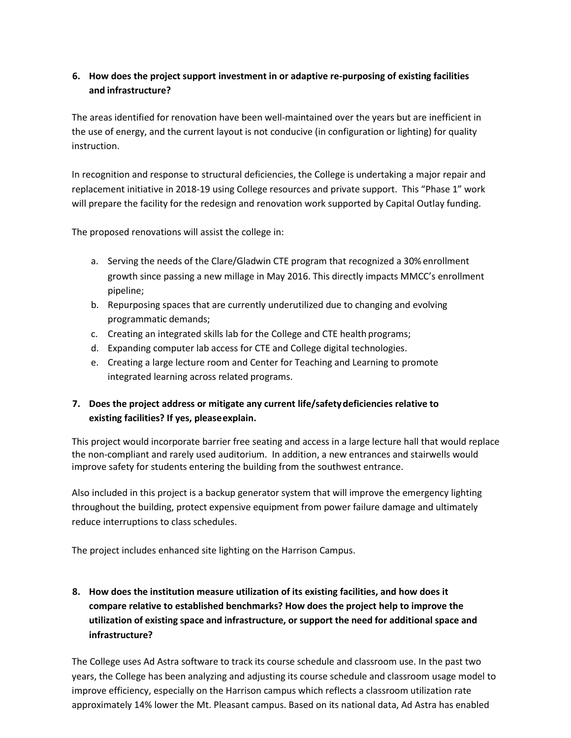### **6. How does the project support investment in or adaptive re-purposing of existing facilities and infrastructure?**

The areas identified for renovation have been well-maintained over the years but are inefficient in the use of energy, and the current layout is not conducive (in configuration or lighting) for quality instruction.

In recognition and response to structural deficiencies, the College is undertaking a major repair and replacement initiative in 2018-19 using College resources and private support. This "Phase 1" work will prepare the facility for the redesign and renovation work supported by Capital Outlay funding.

The proposed renovations will assist the college in:

- a. Serving the needs of the Clare/Gladwin CTE program that recognized a 30%enrollment growth since passing a new millage in May 2016. This directly impacts MMCC's enrollment pipeline;
- b. Repurposing spaces that are currently underutilized due to changing and evolving programmatic demands;
- c. Creating an integrated skills lab for the College and CTE health programs;
- d. Expanding computer lab access for CTE and College digital technologies.
- e. Creating a large lecture room and Center for Teaching and Learning to promote integrated learning across related programs.

### **7. Does the project address or mitigate any current life/safetydeficiencies relative to existing facilities? If yes, pleaseexplain.**

This project would incorporate barrier free seating and access in a large lecture hall that would replace the non-compliant and rarely used auditorium. In addition, a new entrances and stairwells would improve safety for students entering the building from the southwest entrance.

Also included in this project is a backup generator system that will improve the emergency lighting throughout the building, protect expensive equipment from power failure damage and ultimately reduce interruptions to class schedules.

The project includes enhanced site lighting on the Harrison Campus.

# **8. How does the institution measure utilization of its existing facilities, and how does it compare relative to established benchmarks? How does the project help to improve the utilization of existing space and infrastructure, or support the need for additional space and infrastructure?**

The College uses Ad Astra software to track its course schedule and classroom use. In the past two years, the College has been analyzing and adjusting its course schedule and classroom usage model to improve efficiency, especially on the Harrison campus which reflects a classroom utilization rate approximately 14% lower the Mt. Pleasant campus. Based on its national data, Ad Astra has enabled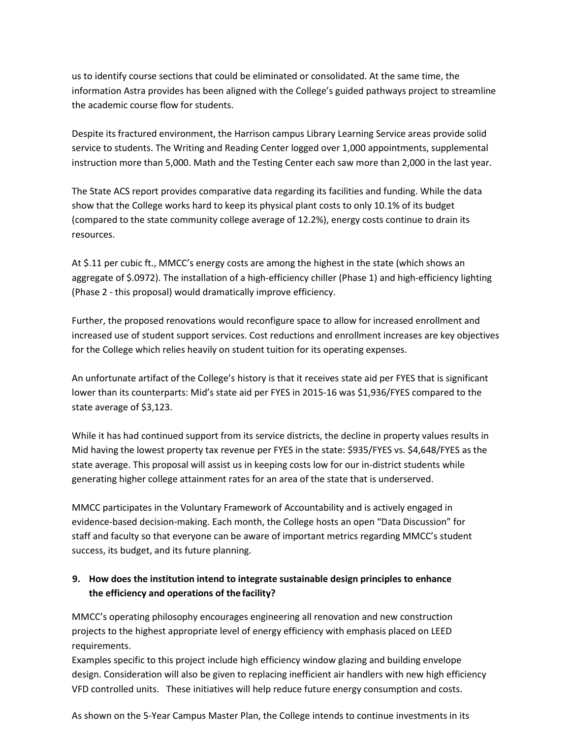us to identify course sections that could be eliminated or consolidated. At the same time, the information Astra provides has been aligned with the College's guided pathways project to streamline the academic course flow for students.

Despite its fractured environment, the Harrison campus Library Learning Service areas provide solid service to students. The Writing and Reading Center logged over 1,000 appointments, supplemental instruction more than 5,000. Math and the Testing Center each saw more than 2,000 in the last year.

The State ACS report provides comparative data regarding its facilities and funding. While the data show that the College works hard to keep its physical plant costs to only 10.1% of its budget (compared to the state community college average of 12.2%), energy costs continue to drain its resources.

At \$.11 per cubic ft., MMCC's energy costs are among the highest in the state (which shows an aggregate of \$.0972). The installation of a high-efficiency chiller (Phase 1) and high-efficiency lighting (Phase 2 - this proposal) would dramatically improve efficiency.

Further, the proposed renovations would reconfigure space to allow for increased enrollment and increased use of student support services. Cost reductions and enrollment increases are key objectives for the College which relies heavily on student tuition for its operating expenses.

An unfortunate artifact of the College's history is that it receives state aid per FYES that is significant lower than its counterparts: Mid's state aid per FYES in 2015-16 was \$1,936/FYES compared to the state average of \$3,123.

While it has had continued support from its service districts, the decline in property values results in Mid having the lowest property tax revenue per FYES in the state: \$935/FYES vs. \$4,648/FYES as the state average. This proposal will assist us in keeping costs low for our in-district students while generating higher college attainment rates for an area of the state that is underserved.

MMCC participates in the Voluntary Framework of Accountability and is actively engaged in evidence-based decision-making. Each month, the College hosts an open "Data Discussion" for staff and faculty so that everyone can be aware of important metrics regarding MMCC's student success, its budget, and its future planning.

### **9. How does the institution intend to integrate sustainable design principles to enhance the efficiency and operations of the facility?**

MMCC's operating philosophy encourages engineering all renovation and new construction projects to the highest appropriate level of energy efficiency with emphasis placed on LEED requirements.

Examples specific to this project include high efficiency window glazing and building envelope design. Consideration will also be given to replacing inefficient air handlers with new high efficiency VFD controlled units. These initiatives will help reduce future energy consumption and costs.

As shown on the 5-Year Campus Master Plan, the College intends to continue investments in its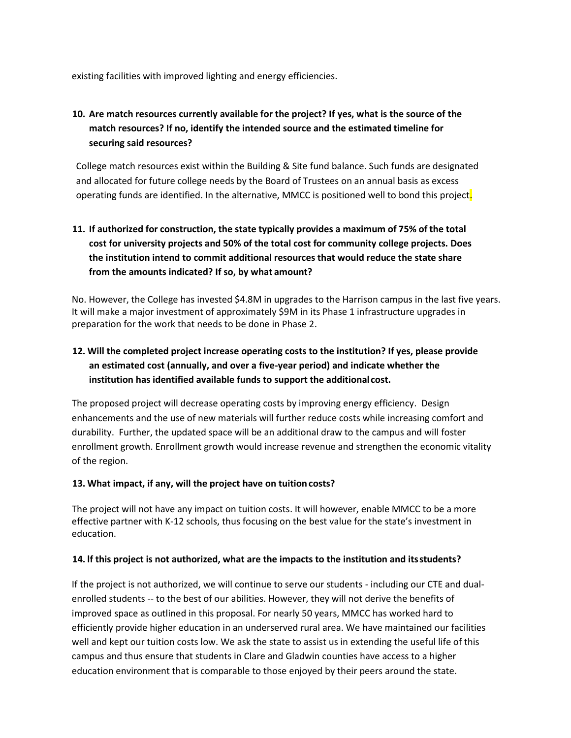existing facilities with improved lighting and energy efficiencies.

## **10. Are match resources currently available for the project? If yes, what is the source of the match resources? If no, identify the intended source and the estimated timeline for securing said resources?**

College match resources exist within the Building & Site fund balance. Such funds are designated and allocated for future college needs by the Board of Trustees on an annual basis as excess operating funds are identified. In the alternative, MMCC is positioned well to bond this project.

# **11. If authorized for construction, the state typically provides a maximum of 75% of the total cost for university projects and 50% of the total cost for community college projects. Does the institution intend to commit additional resources that would reduce the state share from the amounts indicated? If so, by what amount?**

No. However, the College has invested \$4.8M in upgrades to the Harrison campus in the last five years. It will make a major investment of approximately \$9M in its Phase 1 infrastructure upgrades in preparation for the work that needs to be done in Phase 2.

## **12. Will the completed project increase operating costs to the institution? If yes, please provide an estimated cost (annually, and over a five-year period) and indicate whether the institution has identified available funds to support the additional cost.**

The proposed project will decrease operating costs by improving energy efficiency. Design enhancements and the use of new materials will further reduce costs while increasing comfort and durability. Further, the updated space will be an additional draw to the campus and will foster enrollment growth. Enrollment growth would increase revenue and strengthen the economic vitality of the region.

#### **13. What impact, if any, will the project have on tuitioncosts?**

The project will not have any impact on tuition costs. It will however, enable MMCC to be a more effective partner with K-12 schools, thus focusing on the best value for the state's investment in education.

### **14. lf this project is not authorized, what are the impacts to the institution and itsstudents?**

If the project is not authorized, we will continue to serve our students - including our CTE and dualenrolled students -- to the best of our abilities. However, they will not derive the benefits of improved space as outlined in this proposal. For nearly 50 years, MMCC has worked hard to efficiently provide higher education in an underserved rural area. We have maintained our facilities well and kept our tuition costs low. We ask the state to assist us in extending the useful life of this campus and thus ensure that students in Clare and Gladwin counties have access to a higher education environment that is comparable to those enjoyed by their peers around the state.